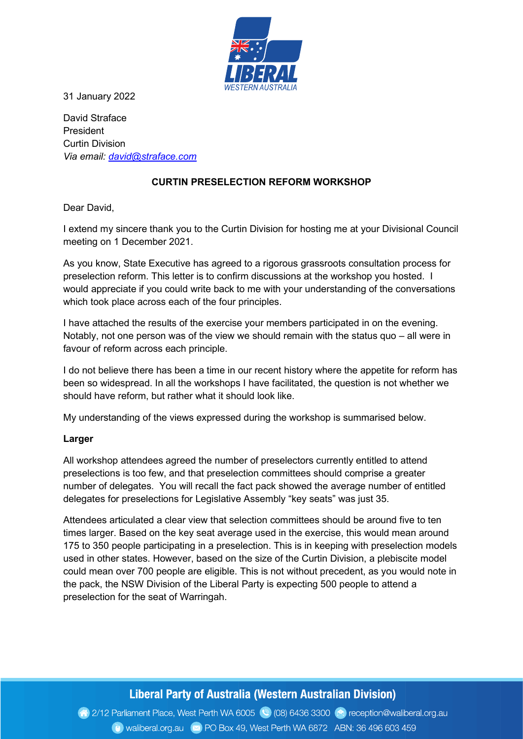

31 January 2022

David Straface President Curtin Division Via email: david@straface.com

# CURTIN PRESELECTION REFORM WORKSHOP

Dear David,

I extend my sincere thank you to the Curtin Division for hosting me at your Divisional Council meeting on 1 December 2021.

As you know, State Executive has agreed to a rigorous grassroots consultation process for preselection reform. This letter is to confirm discussions at the workshop you hosted. I would appreciate if you could write back to me with your understanding of the conversations which took place across each of the four principles.

I have attached the results of the exercise your members participated in on the evening. Notably, not one person was of the view we should remain with the status quo – all were in favour of reform across each principle.

I do not believe there has been a time in our recent history where the appetite for reform has been so widespread. In all the workshops I have facilitated, the question is not whether we should have reform, but rather what it should look like.

My understanding of the views expressed during the workshop is summarised below.

#### Larger

All workshop attendees agreed the number of preselectors currently entitled to attend preselections is too few, and that preselection committees should comprise a greater number of delegates. You will recall the fact pack showed the average number of entitled delegates for preselections for Legislative Assembly "key seats" was just 35.

Attendees articulated a clear view that selection committees should be around five to ten times larger. Based on the key seat average used in the exercise, this would mean around 175 to 350 people participating in a preselection. This is in keeping with preselection models used in other states. However, based on the size of the Curtin Division, a plebiscite model could mean over 700 people are eligible. This is not without precedent, as you would note in the pack, the NSW Division of the Liberal Party is expecting 500 people to attend a preselection for the seat of Warringah.

# Liberal Party of Australia (Western Australian Division)

2/12 Parliament Place, West Perth WA 6005 (2) (08) 6436 3300 (2) reception@waliberal.org.au Waliberal.org.au x PO Box 49, West Perth WA 6872 ABN: 36 496 603 459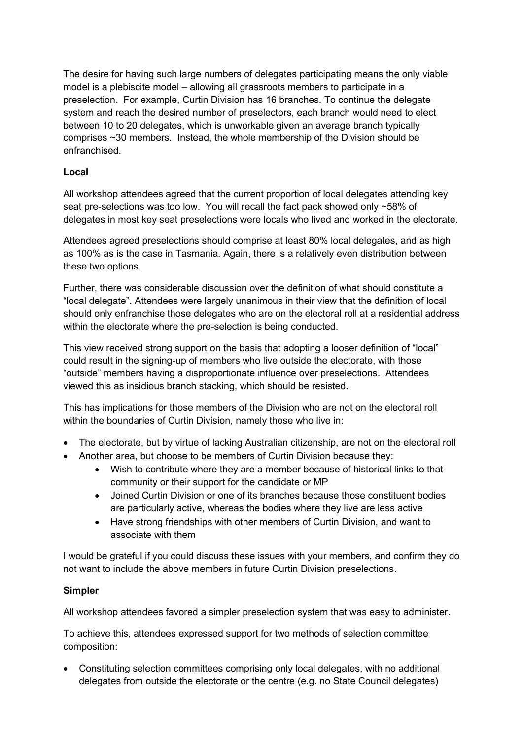The desire for having such large numbers of delegates participating means the only viable model is a plebiscite model – allowing all grassroots members to participate in a preselection. For example, Curtin Division has 16 branches. To continue the delegate system and reach the desired number of preselectors, each branch would need to elect between 10 to 20 delegates, which is unworkable given an average branch typically comprises ~30 members. Instead, the whole membership of the Division should be enfranchised.

### Local

All workshop attendees agreed that the current proportion of local delegates attending key seat pre-selections was too low. You will recall the fact pack showed only ~58% of delegates in most key seat preselections were locals who lived and worked in the electorate.

Attendees agreed preselections should comprise at least 80% local delegates, and as high as 100% as is the case in Tasmania. Again, there is a relatively even distribution between these two options.

Further, there was considerable discussion over the definition of what should constitute a "local delegate". Attendees were largely unanimous in their view that the definition of local should only enfranchise those delegates who are on the electoral roll at a residential address within the electorate where the pre-selection is being conducted.

This view received strong support on the basis that adopting a looser definition of "local" could result in the signing-up of members who live outside the electorate, with those "outside" members having a disproportionate influence over preselections. Attendees viewed this as insidious branch stacking, which should be resisted.

This has implications for those members of the Division who are not on the electoral roll within the boundaries of Curtin Division, namely those who live in:

- The electorate, but by virtue of lacking Australian citizenship, are not on the electoral roll
- Another area, but choose to be members of Curtin Division because they:
	- Wish to contribute where they are a member because of historical links to that community or their support for the candidate or MP
	- Joined Curtin Division or one of its branches because those constituent bodies are particularly active, whereas the bodies where they live are less active
	- Have strong friendships with other members of Curtin Division, and want to associate with them

I would be grateful if you could discuss these issues with your members, and confirm they do not want to include the above members in future Curtin Division preselections.

#### Simpler

All workshop attendees favored a simpler preselection system that was easy to administer.

To achieve this, attendees expressed support for two methods of selection committee composition:

 Constituting selection committees comprising only local delegates, with no additional delegates from outside the electorate or the centre (e.g. no State Council delegates)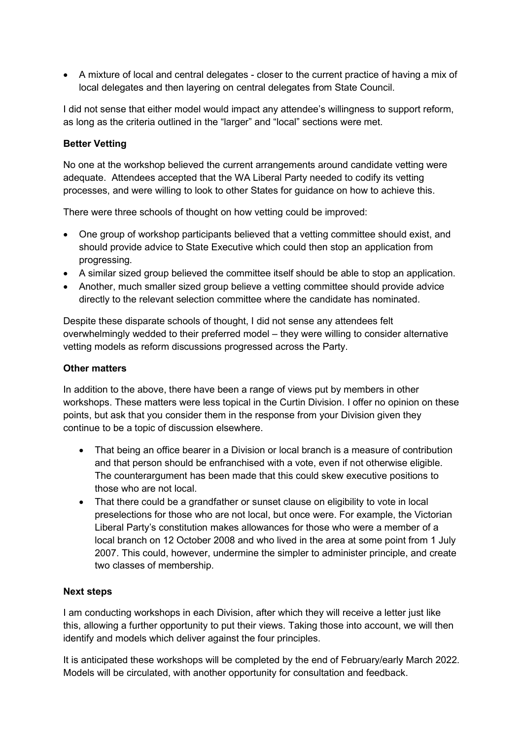A mixture of local and central delegates - closer to the current practice of having a mix of local delegates and then layering on central delegates from State Council.

I did not sense that either model would impact any attendee's willingness to support reform, as long as the criteria outlined in the "larger" and "local" sections were met.

## Better Vetting

No one at the workshop believed the current arrangements around candidate vetting were adequate. Attendees accepted that the WA Liberal Party needed to codify its vetting processes, and were willing to look to other States for guidance on how to achieve this.

There were three schools of thought on how vetting could be improved:

- One group of workshop participants believed that a vetting committee should exist, and should provide advice to State Executive which could then stop an application from progressing.
- A similar sized group believed the committee itself should be able to stop an application.
- Another, much smaller sized group believe a vetting committee should provide advice directly to the relevant selection committee where the candidate has nominated.

Despite these disparate schools of thought, I did not sense any attendees felt overwhelmingly wedded to their preferred model – they were willing to consider alternative vetting models as reform discussions progressed across the Party.

## Other matters

In addition to the above, there have been a range of views put by members in other workshops. These matters were less topical in the Curtin Division. I offer no opinion on these points, but ask that you consider them in the response from your Division given they continue to be a topic of discussion elsewhere.

- That being an office bearer in a Division or local branch is a measure of contribution and that person should be enfranchised with a vote, even if not otherwise eligible. The counterargument has been made that this could skew executive positions to those who are not local.
- That there could be a grandfather or sunset clause on eligibility to vote in local preselections for those who are not local, but once were. For example, the Victorian Liberal Party's constitution makes allowances for those who were a member of a local branch on 12 October 2008 and who lived in the area at some point from 1 July 2007. This could, however, undermine the simpler to administer principle, and create two classes of membership.

## Next steps

I am conducting workshops in each Division, after which they will receive a letter just like this, allowing a further opportunity to put their views. Taking those into account, we will then identify and models which deliver against the four principles.

It is anticipated these workshops will be completed by the end of February/early March 2022. Models will be circulated, with another opportunity for consultation and feedback.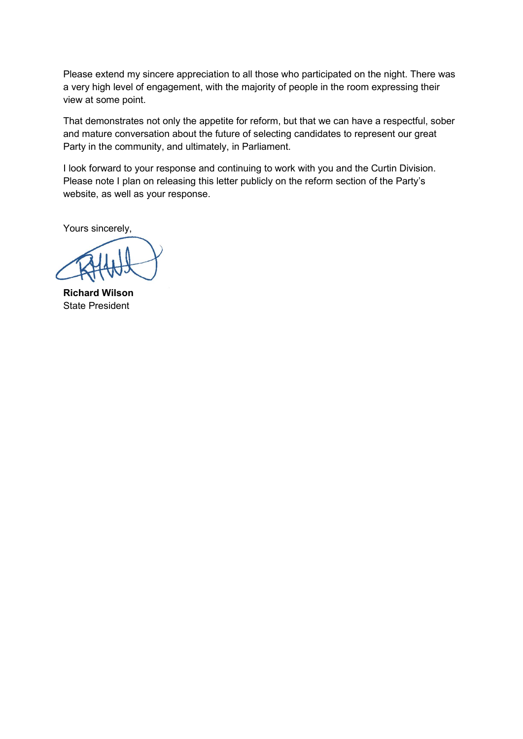Please extend my sincere appreciation to all those who participated on the night. There was a very high level of engagement, with the majority of people in the room expressing their view at some point.

That demonstrates not only the appetite for reform, but that we can have a respectful, sober and mature conversation about the future of selecting candidates to represent our great Party in the community, and ultimately, in Parliament.

I look forward to your response and continuing to work with you and the Curtin Division. Please note I plan on releasing this letter publicly on the reform section of the Party's website, as well as your response.

Yours sincerely,

Richard Wilson State President